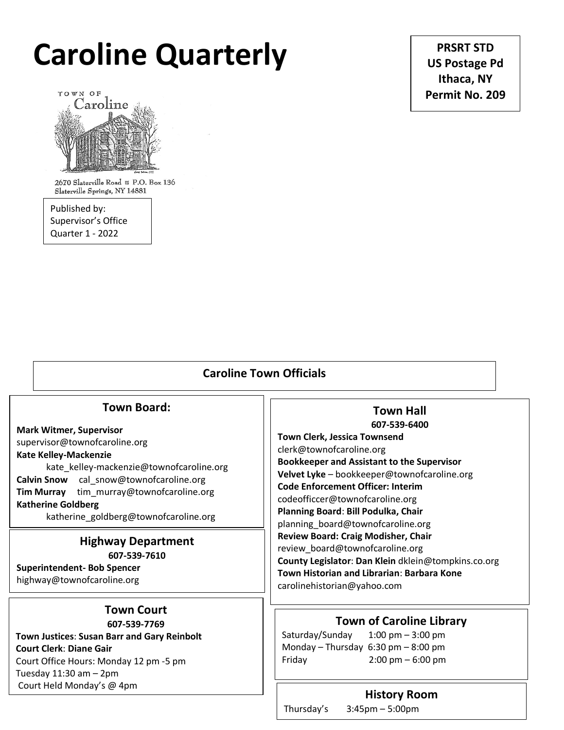# **Caroline Quarterly**

**PRSRT STD US Postage Pd Ithaca, NY Permit No. 209**



2670 Slaterville Road # P.O. Box 136 Slaterville Springs, NY 14881

Published by: Supervisor's Office Quarter 1 - 2022

# **Caroline Town Officials**

# **Town Board:**

**Mark Witmer, Supervisor**  supervisor@townofcaroline.org **Kate Kelley-Mackenzie** kate\_kelley-mackenzie@townofcaroline.org **Calvin Snow** cal\_snow@townofcaroline.org **Tim Murray** tim\_murray@townofcaroline.org **Katherine Goldberg**

katherine\_goldberg@townofcaroline.org

## **Highway Department 607-539-7610**

**Superintendent- Bob Spencer** highway@townofcaroline.org

# **Town Court**

**607-539-7769 Town Justices**: **Susan Barr and Gary Reinbolt Court Clerk**: **Diane Gair** Court Office Hours: Monday 12 pm -5 pm Tuesday 11:30 am – 2pm Court Held Monday's @ 4pm

# **Town Hall 607-539-6400**

 **Velvet Lyke** – bookkeeper@townofcaroline.org **Town Clerk, Jessica Townsend** clerk@townofcaroline.org **Bookkeeper and Assistant to the Supervisor Code Enforcement Officer: Interim** codeofficcer@townofcaroline.org **Planning Board**: **Bill Podulka, Chair** planning\_board@townofcaroline.org **Review Board: Craig Modisher, Chair** review\_board@townofcaroline.org **County Legislator**: **Dan Klein** dklein@tompkins.co.org **Town Historian and Librarian**: **Barbara Kone** carolinehistorian@yahoo.com

# **Town of Caroline Library**

Saturday/Sunday 1:00 pm – 3:00 pm Monday – Thursday 6:30 pm – 8:00 pm Friday 2:00 pm – 6:00 pm

# **History Room**

Thursday's 3:45pm – 5:00pm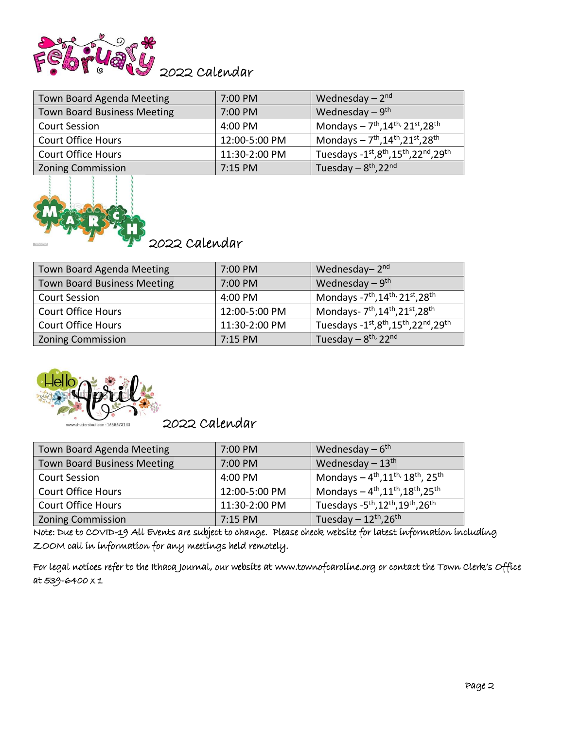

| <b>Town Board Agenda Meeting</b>   | 7:00 PM       | Wednesday $-2nd$                                                    |
|------------------------------------|---------------|---------------------------------------------------------------------|
| <b>Town Board Business Meeting</b> | 7:00 PM       | Wednesday $-9$ <sup>th</sup>                                        |
| <b>Court Session</b>               | 4:00 PM       | Mondays $-7^{\text{th}}$ , 14 <sup>th,</sup> 21st, 28 <sup>th</sup> |
| <b>Court Office Hours</b>          | 12:00-5:00 PM | Mondays $-7^{th}$ , $14^{th}$ , $21^{st}$ , $28^{th}$               |
| <b>Court Office Hours</b>          | 11:30-2:00 PM | Tuesdays - 1st, 8th, 15th, 22nd, 29th                               |
| <b>Zoning Commission</b>           | 7:15 PM       | Tuesday $-8th, 22nd$                                                |



2022 Calendar

| <b>Town Board Agenda Meeting</b>   | 7:00 PM       | Wednesday- $2nd$                                                                  |
|------------------------------------|---------------|-----------------------------------------------------------------------------------|
| <b>Town Board Business Meeting</b> | 7:00 PM       | Wednesday $-9$ <sup>th</sup>                                                      |
| <b>Court Session</b>               | 4:00 PM       | Mondays -7 <sup>th</sup> , 14 <sup>th,</sup> 21st, 28 <sup>th</sup>               |
| <b>Court Office Hours</b>          | 12:00-5:00 PM | Mondays- 7 <sup>th</sup> , 14 <sup>th</sup> , 21 <sup>st</sup> , 28 <sup>th</sup> |
| <b>Court Office Hours</b>          | 11:30-2:00 PM | Tuesdays -1st, 8th, 15th, 22nd, 29th                                              |
| <b>Zoning Commission</b>           | $7:15$ PM     | Tuesday - 8 <sup>th,</sup> 22 <sup>nd</sup>                                       |



2022 Calendar

| Town Board Agenda Meeting          | 7:00 PM       | Wednesday $-6$ <sup>th</sup>                                                        |
|------------------------------------|---------------|-------------------------------------------------------------------------------------|
| <b>Town Board Business Meeting</b> | 7:00 PM       | Wednesday $-13$ <sup>th</sup>                                                       |
| <b>Court Session</b>               | 4:00 PM       | Mondays $-4^{th}$ , $11^{th}$ , $18^{th}$ , $25^{th}$                               |
| <b>Court Office Hours</b>          | 12:00-5:00 PM | Mondays $-4^{th}, 11^{th}, 18^{th}, 25^{th}$                                        |
| <b>Court Office Hours</b>          | 11:30-2:00 PM | Tuesdays - 5 <sup>th</sup> , 12 <sup>th</sup> , 19 <sup>th</sup> , 26 <sup>th</sup> |
| <b>Zoning Commission</b>           | $7:15$ PM     | Tuesday $-12^{\text{th}}$ , 26 <sup>th</sup>                                        |

Note: Due to COVID-19 All Events are subject to change. Please check website for latest information including ZOOM call in information for any meetings held remotely.

For legal notices refer to the Ithaca Journal, our website at www.townofcaroline.org or contact the Town Clerk's Office at 539-6400 x 1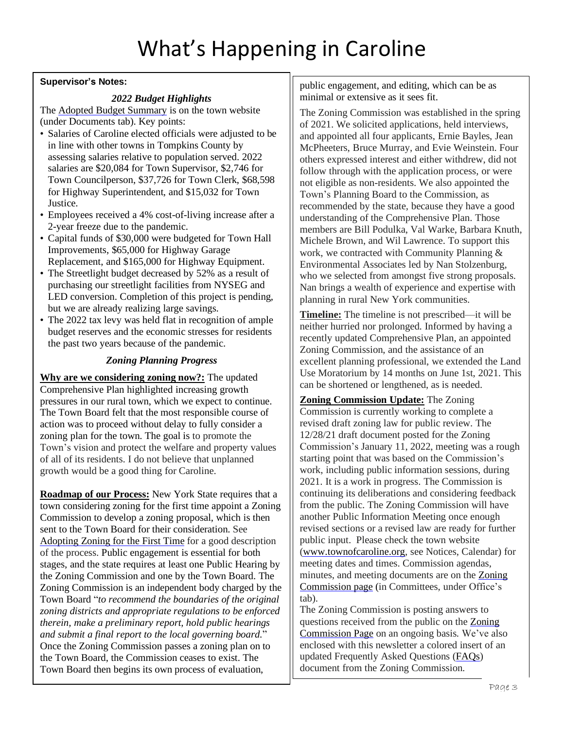# **Supervisor's Notes:**

# *2022 Budget Highlights*

The Adopted Budget [Summary](http://www.townofcaroline.org/uploads/6/2/7/8/62781479/2022_adopted_budget_summary.pdf) is on the town website (under Documents tab). Key points:

- Salaries of Caroline elected officials were adjusted to be in line with other towns in Tompkins County by assessing salaries relative to population served. 2022 salaries are \$20,084 for Town Supervisor, \$2,746 for Town Councilperson, \$37,726 for Town Clerk, \$68,598 for Highway Superintendent, and \$15,032 for Town Justice.
- Employees received a 4% cost-of-living increase after a 2-year freeze due to the pandemic.
- Capital funds of \$30,000 were budgeted for Town Hall Improvements, \$65,000 for Highway Garage Replacement, and \$165,000 for Highway Equipment.
- The Streetlight budget decreased by 52% as a result of purchasing our streetlight facilities from NYSEG and LED conversion. Completion of this project is pending, but we are already realizing large savings.
- The 2022 tax levy was held flat in recognition of ample budget reserves and the economic stresses for residents the past two years because of the pandemic.

# *Zoning Planning Progress*

**Why are we considering zoning now?:** The updated Comprehensive Plan highlighted increasing growth pressures in our rural town, which we expect to continue. The Town Board felt that the most responsible course of action was to proceed without delay to fully consider a zoning plan for the town. The goal is to promote the Town's vision and protect the welfare and property values of all of its residents. I do not believe that unplanned growth would be a good thing for Caroline.

**Roadmap of our Process:** New York State requires that a town considering zoning for the first time appoint a Zoning Commission to develop a zoning proposal, which is then sent to the Town Board for their consideration. See [Adopting](https://dos.ny.gov/system/files/documents/2021/10/adopting-zoning-for-the-first-time.pdf) Zoning for the First Time for a good description of the process. Public engagement is essential for both stages, and the state requires at least one Public Hearing by the Zoning Commission and one by the Town Board. The Zoning Commission is an independent body charged by the Town Board "*to recommend the boundaries of the original zoning districts and appropriate regulations to be enforced therein, make a preliminary report, hold public hearings and submit a final report to the local governing board.*" Once the Zoning Commission passes a zoning plan on to the Town Board, the Commission ceases to exist. The Town Board then begins its own process of evaluation,

public engagement, and editing, which can be as minimal or extensive as it sees fit.

The Zoning Commission was established in the spring of 2021. We solicited applications, held interviews, and appointed all four applicants, Ernie Bayles, Jean McPheeters, Bruce Murray, and Evie Weinstein. Four others expressed interest and either withdrew, did not follow through with the application process, or were not eligible as non-residents. We also appointed the Town's Planning Board to the Commission, as recommended by the state, because they have a good understanding of the Comprehensive Plan. Those members are Bill Podulka, Val Warke, Barbara Knuth, Michele Brown, and Wil Lawrence. To support this work, we contracted with Community Planning & Environmental Associates led by Nan Stolzenburg, who we selected from amongst five strong proposals. Nan brings a wealth of experience and expertise with planning in rural New York communities.

**Timeline:** The timeline is not prescribed—it will be neither hurried nor prolonged. Informed by having a recently updated Comprehensive Plan, an appointed Zoning Commission, and the assistance of an excellent planning professional, we extended the Land Use Moratorium by 14 months on June 1st, 2021. This can be shortened or lengthened, as is needed.

**Zoning Commission Update:** The Zoning Commission is currently working to complete a revised draft zoning law for public review. The 12/28/21 draft document posted for the Zoning Commission's January 11, 2022, meeting was a rough starting point that was based on the Commission's work, including public information sessions, during 2021. It is a work in progress. The Commission is continuing its deliberations and considering feedback from the public. The Zoning Commission will have another Public Information Meeting once enough revised sections or a revised law are ready for further public input. Please check the town website [\(www.townofcaroline.org,](http://www.townofcaroline.org/) see Notices, Calendar) for meeting dates and times. Commission agendas, minutes, and meeting documents are on the [Zoning](http://www.townofcaroline.org/zoning-commission1.html) [Commission](http://www.townofcaroline.org/zoning-commission1.html) page (in Committees, under Office's tab).

The Zoning Commission is posting answers to questions received from the public on the [Zoning](http://www.townofcaroline.org/zoning-commission1.html) [Commission](http://www.townofcaroline.org/zoning-commission1.html) Page on an ongoing basis. We've also enclosed with this newsletter a colored insert of an updated Frequently Asked Questions (FAQs) document from the Zoning Commission.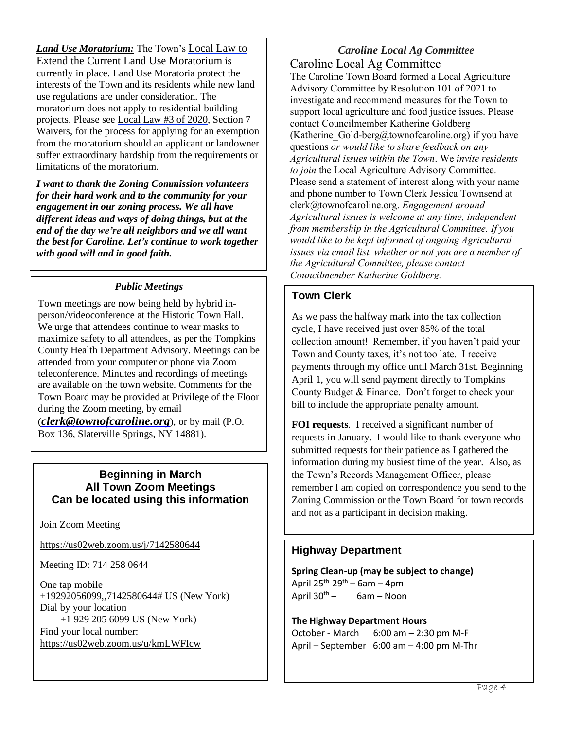*Land Use Moratorium:* The Town's [Local](http://www.townofcaroline.org/uploads/6/2/7/8/62781479/toc_local_law____of_2021_amendment_and_extension_of_land_use_moratorium__draft_v2_.pdf) Law to Extend the Current Land Use [Moratorium](http://www.townofcaroline.org/uploads/6/2/7/8/62781479/toc_local_law____of_2021_amendment_and_extension_of_land_use_moratorium__draft_v2_.pdf) is currently in place. Land Use Moratoria protect the interests of the Town and its residents while new land use regulations are under consideration. The moratorium does not apply to residential building projects. Please see [Local](http://www.townofcaroline.org/uploads/6/2/7/8/62781479/toc_3_of_2020_-_land_use_moratorium_12-9-20.pdf) Law #3 of 2020, Section 7 Waivers, for the process for applying for an exemption from the moratorium should an applicant or landowner suffer extraordinary hardship from the requirements or limitations of the moratorium.

*I want to thank the Zoning Commission volunteers for their hard work and to the community for your engagement in our zoning process. We all have different ideas and ways of doing things, but at the end of the day we're all neighbors and we all want the best for Caroline. Let's continue to work together with good will and in good faith.*

# *Public Meetings*

Town meetings are now being held by hybrid inperson/videoconference at the Historic Town Hall. We urge that attendees continue to wear masks to maximize safety to all attendees, as per the Tompkins County Health Department Advisory. Meetings can be attended from your computer or phone via Zoom teleconference. Minutes and recordings of meetings are available on the town website. Comments for the Town Board may be provided at Privilege of the Floor during the Zoom meeting, by email

(*[clerk@townofcaroline.org](mailto:clerk@townofcaroline.org)*), or by mail (P.O. Box 136, Slaterville Springs, NY 14881).

# **Beginning in March All Town Zoom Meetings Can be located using this information**

Join Zoom Meeting

<https://us02web.zoom.us/j/7142580644>

Meeting ID: 714 258 0644

One tap mobile +19292056099,,7142580644# US (New York) Dial by your location +1 929 205 6099 US (New York) Find your local number: <https://us02web.zoom.us/u/kmLWFIcw>

*Caroline Local Ag Committee* Caroline Local Ag Committee The Caroline Town Board formed a Local Agriculture Advisory Committee by Resolution 101 of 2021 to investigate and recommend measures for the Town to support local agriculture and food justice issues. Please contact Councilmember Katherine Goldberg (Katherine Gold-berg@townofcaroline.org) if you have questions *or would like to share feedback on any Agricultural issues within the Town*. We *invite residents to join* the Local Agriculture Advisory Committee. Please send a statement of interest along with your name and phone number to Town Clerk Jessica Townsend at [clerk@townofcaroline.org.](mailto:clerk@townofcaroline.org) *Engagement around Agricultural issues is welcome at any time, independent from membership in the Agricultural Committee. If you would like to be kept informed of ongoing Agricultural issues via email list, whether or not you are a member of the Agricultural Committee, please contact Councilmember Katherine Goldberg.*

# **Town Clerk**

As we pass the halfway mark into the tax collection cycle, I have received just over 85% of the total collection amount! Remember, if you haven't paid your Town and County taxes, it's not too late. I receive payments through my office until March 31st. Beginning April 1, you will send payment directly to Tompkins County Budget & Finance. Don't forget to check your bill to include the appropriate penalty amount.

**FOI requests**. I received a significant number of requests in January. I would like to thank everyone who submitted requests for their patience as I gathered the information during my busiest time of the year. Also, as the Town's Records Management Officer, please remember I am copied on correspondence you send to the Zoning Commission or the Town Board for town records and not as a participant in decision making.

# **Highway Department**

**Spring Clean-up (may be subject to change)** April 25<sup>th</sup>-29<sup>th</sup> – 6am – 4pm April  $30^{th}$  – 6am – Noon

**The Highway Department Hours** October - March 6:00 am – 2:30 pm M-F April – September 6:00 am – 4:00 pm M-Thr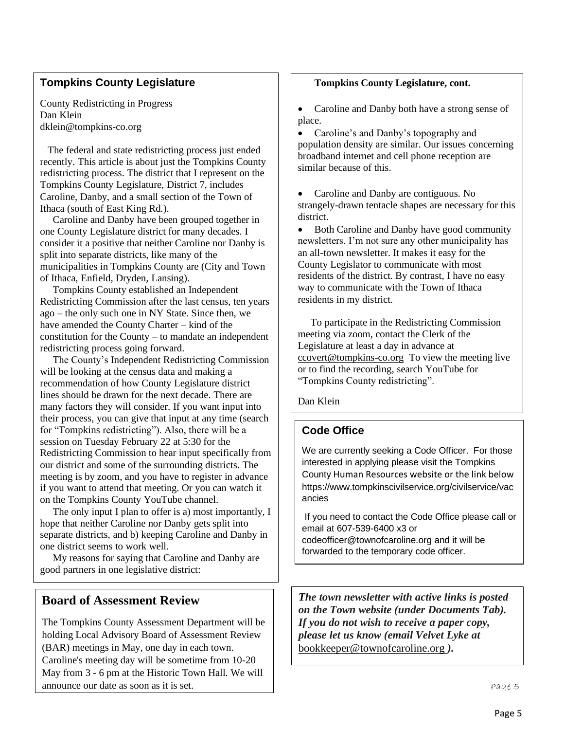# **Tompkins County Legislature**

County Redistricting in Progress Dan Klein dklein@tompkins-co.org

 The federal and state redistricting process just ended recently. This article is about just the Tompkins County redistricting process. The district that I represent on the Tompkins County Legislature, District 7, includes Caroline, Danby, and a small section of the Town of Ithaca (south of East King Rd.).

 Caroline and Danby have been grouped together in one County Legislature district for many decades. I consider it a positive that neither Caroline nor Danby is split into separate districts, like many of the municipalities in Tompkins County are (City and Town of Ithaca, Enfield, Dryden, Lansing).

 Tompkins County established an Independent Redistricting Commission after the last census, ten years ago – the only such one in NY State. Since then, we have amended the County Charter – kind of the constitution for the County – to mandate an independent redistricting process going forward.

 The County's Independent Redistricting Commission will be looking at the census data and making a recommendation of how County Legislature district lines should be drawn for the next decade. There are many factors they will consider. If you want input into their process, you can give that input at any time (search for "Tompkins redistricting"). Also, there will be a session on Tuesday February 22 at 5:30 for the Redistricting Commission to hear input specifically from our district and some of the surrounding districts. The meeting is by zoom, and you have to register in advance if you want to attend that meeting. Or you can watch it on the Tompkins County YouTube channel.

 The only input I plan to offer is a) most importantly, I hope that neither Caroline nor Danby gets split into separate districts, and b) keeping Caroline and Danby in one district seems to work well.

 My reasons for saying that Caroline and Danby are good partners in one legislative district:

# **Board of Assessment Review**

The Tompkins County Assessment Department will be holding Local Advisory Board of Assessment Review (BAR) meetings in May, one day in each town. Caroline's meeting day will be sometime from 10-20 May from 3 - 6 pm at the Historic Town Hall. We will announce our date as soon as it is set.

# **Tompkins County Legislature, cont.**

• Caroline and Danby both have a strong sense of place.

• Caroline's and Danby's topography and population density are similar. Our issues concerning broadband internet and cell phone reception are similar because of this.

• Caroline and Danby are contiguous. No strangely-drawn tentacle shapes are necessary for this district.

• Both Caroline and Danby have good community newsletters. I'm not sure any other municipality has an all-town newsletter. It makes it easy for the County Legislator to communicate with most residents of the district. By contrast, I have no easy way to communicate with the Town of Ithaca residents in my district.

 To participate in the Redistricting Commission meeting via zoom, contact the Clerk of the Legislature at least a day in advance at ccovert@tompkins-co.org To view the meeting live or to find the recording, search YouTube for "Tompkins County redistricting".

Dan Klein

#### [dklein@tompkins-co.org](mailto:dklein@tompkins-co.org) **Code Office**

We are currently seeking a Code Officer. For those interested in applying please visit the Tompkins County Human Resources website or the link below https://www.tompkinscivilservice.org/civilservice/vac ancies

If you need to contact the Code Office please call or email at 607-539-6400 x3 or codeofficer@townofcaroline.org and it will be forwarded to the temporary code officer.

*The town newsletter with active links is posted on the Town website (under Documents Tab). If you do not wish to receive a paper copy, please let us know (email Velvet Lyke at* bookkeeper@townofcaroline.org *).*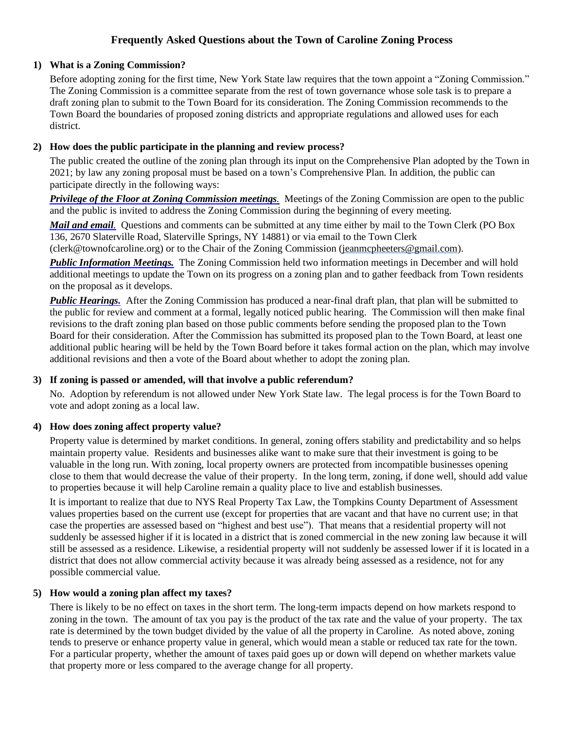# **Frequently Asked Questions about the Town of Caroline Zoning Process**

## **1) What is a Zoning Commission?**

Before adopting zoning for the first time, New York State law requires that the town appoint a "Zoning Commission." The Zoning Commission is a committee separate from the rest of town governance whose sole task is to prepare a draft zoning plan to submit to the Town Board for its consideration. The Zoning Commission recommends to the Town Board the boundaries of proposed zoning districts and appropriate regulations and allowed uses for each district.

# **2) How does the public participate in the planning and review process?**

The public created the outline of the zoning plan through its input on the Comprehensive Plan adopted by the Town in 2021; by law any zoning proposal must be based on a town's Comprehensive Plan. In addition, the public can participate directly in the following ways:

*Privilege of the Floor at Zoning Commission meetings.* Meetings of the Zoning Commission are open to the public and the public is invited to address the Zoning Commission during the beginning of every meeting.

*Mail and email.* Questions and comments can be submitted at any time either by mail to the Town Clerk (PO Box 136, 2670 Slaterville Road, Slaterville Springs, NY 14881) or via email to the Town Clerk

 $(\text{cleark@townofcaroline.org})$  or to the Chair of the Zoning Commission (jeanmcpheeters @gmail.com).

*Public Information Meetings.* The Zoning Commission held two information meetings in December and will hold additional meetings to update the Town on its progress on a zoning plan and to gather feedback from Town residents on the proposal as it develops.

*Public Hearings.* After the Zoning Commission has produced a near-final draft plan, that plan will be submitted to the public for review and comment at a formal, legally noticed public hearing. The Commission will then make final revisions to the draft zoning plan based on those public comments before sending the proposed plan to the Town Board for their consideration. After the Commission has submitted its proposed plan to the Town Board, at least one additional public hearing will be held by the Town Board before it takes formal action on the plan, which may involve additional revisions and then a vote of the Board about whether to adopt the zoning plan.

## **3) If zoning is passed or amended, will that involve a public referendum?**

No. Adoption by referendum is not allowed under New York State law. The legal process is for the Town Board to vote and adopt zoning as a local law.

# **4) How does zoning affect property value?**

Property value is determined by market conditions. In general, zoning offers stability and predictability and so helps maintain property value. Residents and businesses alike want to make sure that their investment is going to be valuable in the long run. With zoning, local property owners are protected from incompatible businesses opening close to them that would decrease the value of their property. In the long term, zoning, if done well, should add value to properties because it will help Caroline remain a quality place to live and establish businesses.

It is important to realize that due to NYS Real Property Tax Law, the Tompkins County Department of Assessment values properties based on the current use (except for properties that are vacant and that have no current use; in that case the properties are assessed based on "highest and best use"). That means that a residential property will not suddenly be assessed higher if it is located in a district that is zoned commercial in the new zoning law because it will still be assessed as a residence. Likewise, a residential property will not suddenly be assessed lower if it is located in a district that does not allow commercial activity because it was already being assessed as a residence, not for any possible commercial value.

# **5) How would a zoning plan affect my taxes?**

There is likely to be no effect on taxes in the short term. The long-term impacts depend on how markets respond to zoning in the town. The amount of tax you pay is the product of the tax rate and the value of your property. The tax rate is determined by the town budget divided by the value of all the property in Caroline. As noted above, zoning tends to preserve or enhance property value in general, which would mean a stable or reduced tax rate for the town. For a particular property, whether the amount of taxes paid goes up or down will depend on whether markets value that property more or less compared to the average change for all property.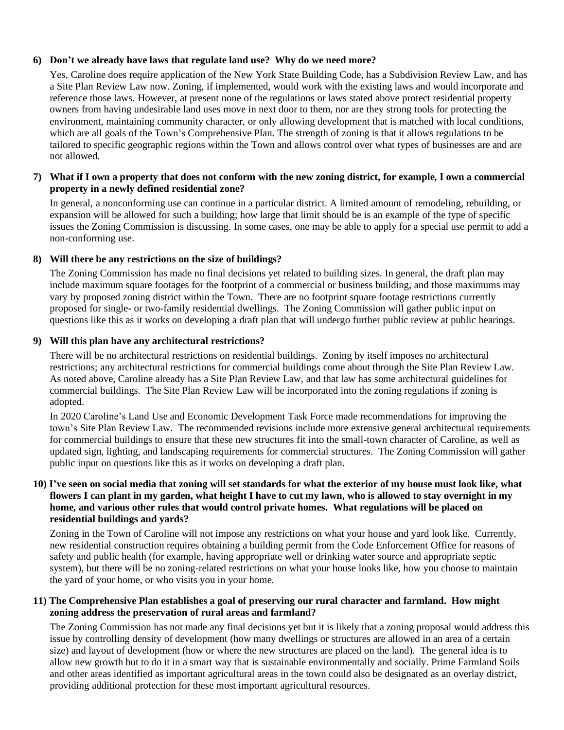## **6) Don't we already have laws that regulate land use? Why do we need more?**

Yes, Caroline does require application of the New York State Building Code, has a Subdivision Review Law, and has a Site Plan Review Law now. Zoning, if implemented, would work with the existing laws and would incorporate and reference those laws. However, at present none of the regulations or laws stated above protect residential property owners from having undesirable land uses move in next door to them, nor are they strong tools for protecting the environment, maintaining community character, or only allowing development that is matched with local conditions, which are all goals of the Town's Comprehensive Plan. The strength of zoning is that it allows regulations to be tailored to specific geographic regions within the Town and allows control over what types of businesses are and are not allowed.

## 7) What if I own a property that does not conform with the new zoning district, for example, I own a commercial **property in a newly defined residential zone?**

In general, a nonconforming use can continue in a particular district. A limited amount of remodeling, rebuilding, or expansion will be allowed for such a building; how large that limit should be is an example of the type of specific issues the Zoning Commission is discussing. In some cases, one may be able to apply for a special use permit to add a non-conforming use.

# **8) Will there be any restrictions on the size of buildings?**

The Zoning Commission has made no final decisions yet related to building sizes. In general, the draft plan may include maximum square footages for the footprint of a commercial or business building, and those maximums may vary by proposed zoning district within the Town. There are no footprint square footage restrictions currently proposed for single- or two-family residential dwellings. The Zoning Commission will gather public input on questions like this as it works on developing a draft plan that will undergo further public review at public hearings.

# **9) Will this plan have any architectural restrictions?**

There will be no architectural restrictions on residential buildings. Zoning by itself imposes no architectural restrictions; any architectural restrictions for commercial buildings come about through the Site Plan Review Law. As noted above, Caroline already has a Site Plan Review Law, and that law has some architectural guidelines for commercial buildings. The Site Plan Review Law will be incorporated into the zoning regulations if zoning is adopted.

In 2020 Caroline's Land Use and Economic Development Task Force made recommendations for improving the town's Site Plan Review Law. The recommended revisions include more extensive general architectural requirements for commercial buildings to ensure that these new structures fit into the small-town character of Caroline, as well as updated sign, lighting, and landscaping requirements for commercial structures. The Zoning Commission will gather public input on questions like this as it works on developing a draft plan.

## 10) I've seen on social media that zoning will set standards for what the exterior of my house must look like, what flowers I can plant in my garden, what height I have to cut my lawn, who is allowed to stay overnight in my **home, and various other rules that would control private homes. What regulations will be placed on residential buildings and yards?**

Zoning in the Town of Caroline will not impose any restrictions on what your house and yard look like. Currently, new residential construction requires obtaining a building permit from the Code Enforcement Office for reasons of safety and public health (for example, having appropriate well or drinking water source and appropriate septic system), but there will be no zoning-related restrictions on what your house looks like, how you choose to maintain the yard of your home, or who visits you in your home.

# **11) The Comprehensive Plan establishes a goal of preserving our rural character and farmland. How might zoning address the preservation of rural areas and farmland?**

The Zoning Commission has not made any final decisions yet but it is likely that a zoning proposal would address this issue by controlling density of development (how many dwellings or structures are allowed in an area of a certain size) and layout of development (how or where the new structures are placed on the land). The general idea is to allow new growth but to do it in a smart way that is sustainable environmentally and socially. Prime Farmland Soils and other areas identified as important agricultural areas in the town could also be designated as an overlay district, providing additional protection for these most important agricultural resources.